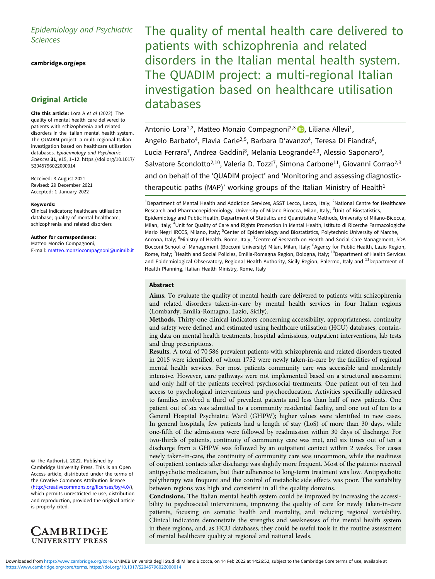# Epidemiology and Psychiatric Sciences

[cambridge.org/eps](https://www.cambridge.org/eps)

# Original Article

Cite this article: Lora A et al (2022). The quality of mental health care delivered to patients with schizophrenia and related disorders in the Italian mental health system. The QUADIM project: a multi-regional Italian investigation based on healthcare utilisation databases. Epidemiology and Psychiatric Sciences 31, e15, 1–12. [https://doi.org/10.1017/](https://doi.org/10.1017/S2045796022000014) [S2045796022000014](https://doi.org/10.1017/S2045796022000014)

Received: 3 August 2021 Revised: 29 December 2021 Accepted: 1 January 2022

#### Keywords:

Clinical indicators; healthcare utilisation database; quality of mental healthcare; schizophrenia and related disorders

Author for correspondence: Matteo Monzio Compagnoni, E-mail: [matteo.monziocompagnoni@unimib.it](mailto:matteo.monziocompagnoni@unimib.it)

© The Author(s), 2022. Published by Cambridge University Press. This is an Open Access article, distributed under the terms of the Creative Commons Attribution licence ([http://creativecommons.org/licenses/by/4.0/\)](http://creativecommons.org/licenses/by/4.0/), which permits unrestricted re-use, distribution and reproduction, provided the original article is properly cited.



The quality of mental health care delivered to patients with schizophrenia and related disorders in the Italian mental health system. The QUADIM project: a multi-regional Italian investigation based on healthcare utilisation databases

Antonio Lora<sup>1[,](https://orcid.org/0000-0002-2105-4572)2</sup>, Matteo Monzio Compagnoni<sup>2,3</sup> (D, Liliana Allevi<sup>1</sup>, Angelo Barbato<sup>4</sup>, Flavia Carle<sup>2,5</sup>, Barbara D'avanzo<sup>4</sup>, Teresa Di Fiandra<sup>6</sup>, Lucia Ferrara<sup>7</sup>, Andrea Gaddini<sup>8</sup>, Melania Leogrande<sup>2,3</sup>, Alessio Saponaro<sup>9</sup>, Salvatore Scondotto<sup>2,10</sup>, Valeria D. Tozzi<sup>7</sup>, Simona Carbone<sup>11</sup>, Giovanni Corrao<sup>2,3</sup> and on behalf of the 'QUADIM project' and 'Monitoring and assessing diagnostictherapeutic paths (MAP)' working groups of the Italian Ministry of Health $<sup>1</sup>$ </sup>

<sup>1</sup>Department of Mental Health and Addiction Services, ASST Lecco, Lecco, Italy; <sup>2</sup>National Centre for Healthcare Research and Pharmacoepidemiology, University of Milano-Bicocca, Milan, Italy; <sup>3</sup>Unit of Biostatistics, Epidemiology and Public Health, Department of Statistics and Quantitative Methods, University of Milano-Bicocca, Milan, Italy; <sup>4</sup>Unit for Quality of Care and Rights Promotion in Mental Health, Istituto di Ricerche Farmacologiche Mario Negri IRCCS, Milano, Italy; <sup>5</sup>Center of Epidemiology and Biostatistics, Polytechnic University of Marche, Ancona, Italy; <sup>6</sup>Ministry of Health, Rome, Italy; <sup>7</sup>Centre of Research on Health and Social Care Management, SDA Bocconi School of Management (Bocconi University) Milan, Milan, Italy; <sup>8</sup>Agency for Public Health, Lazio Region, Rome, Italy; <sup>9</sup>Health and Social Policies, Emilia-Romagna Region, Bologna, Italy; <sup>10</sup>Department of Health Services and Epidemiological Observatory, Regional Health Authority, Sicily Region, Palermo, Italy and  $^{11}$ Department of Health Planning, Italian Health Ministry, Rome, Italy

# Abstract

Aims. To evaluate the quality of mental health care delivered to patients with schizophrenia and related disorders taken-in-care by mental health services in four Italian regions (Lombardy, Emilia-Romagna, Lazio, Sicily).

Methods. Thirty-one clinical indicators concerning accessibility, appropriateness, continuity and safety were defined and estimated using healthcare utilisation (HCU) databases, containing data on mental health treatments, hospital admissions, outpatient interventions, lab tests and drug prescriptions.

Results. A total of 70 586 prevalent patients with schizophrenia and related disorders treated in 2015 were identified, of whom 1752 were newly taken-in-care by the facilities of regional mental health services. For most patients community care was accessible and moderately intensive. However, care pathways were not implemented based on a structured assessment and only half of the patients received psychosocial treatments. One patient out of ten had access to psychological interventions and psychoeducation. Activities specifically addressed to families involved a third of prevalent patients and less than half of new patients. One patient out of six was admitted to a community residential facility, and one out of ten to a General Hospital Psychiatric Ward (GHPW); higher values were identified in new cases. In general hospitals, few patients had a length of stay (LoS) of more than 30 days, while one-fifth of the admissions were followed by readmission within 30 days of discharge. For two-thirds of patients, continuity of community care was met, and six times out of ten a discharge from a GHPW was followed by an outpatient contact within 2 weeks. For cases newly taken-in-care, the continuity of community care was uncommon, while the readiness of outpatient contacts after discharge was slightly more frequent. Most of the patients received antipsychotic medication, but their adherence to long-term treatment was low. Antipsychotic polytherapy was frequent and the control of metabolic side effects was poor. The variability between regions was high and consistent in all the quality domains.

Conclusions. The Italian mental health system could be improved by increasing the accessibility to psychosocial interventions, improving the quality of care for newly taken-in-care patients, focusing on somatic health and mortality, and reducing regional variability. Clinical indicators demonstrate the strengths and weaknesses of the mental health system in these regions, and, as HCU databases, they could be useful tools in the routine assessment of mental healthcare quality at regional and national levels.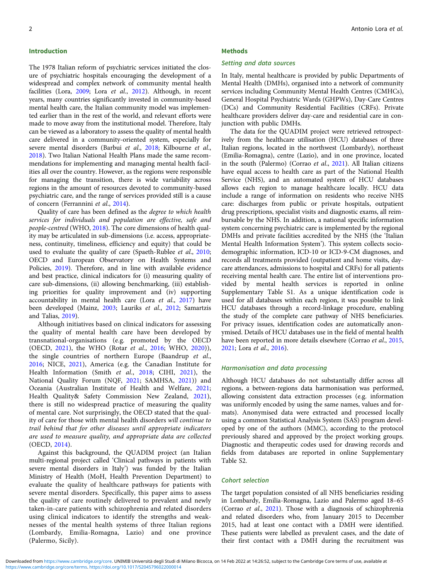#### Introduction

The 1978 Italian reform of psychiatric services initiated the closure of psychiatric hospitals encouraging the development of a widespread and complex network of community mental health facilities (Lora, [2009](#page-10-0); Lora et al., [2012\)](#page-10-0). Although, in recent years, many countries significantly invested in community-based mental health care, the Italian community model was implemented earlier than in the rest of the world, and relevant efforts were made to move away from the institutional model. Therefore, Italy can be viewed as a laboratory to assess the quality of mental health care delivered in a community-oriented system, especially for severe mental disorders (Barbui et al., [2018;](#page-9-0) Kilbourne et al., [2018\)](#page-10-0). Two Italian National Health Plans made the same recommendations for implementing and managing mental health facilities all over the country. However, as the regions were responsible for managing the transition, there is wide variability across regions in the amount of resources devoted to community-based psychiatric care, and the range of services provided still is a cause of concern (Ferrannini et al., [2014\)](#page-9-0).

Quality of care has been defined as the degree to which health services for individuals and population are effective, safe and people-centred (WHO, [2018\)](#page-11-0). The core dimensions of health quality may be articulated in sub-dimensions (i.e. access, appropriateness, continuity, timeliness, efficiency and equity) that could be used to evaluate the quality of care (Spaeth-Rublee et al., [2010](#page-10-0); OECD and European Observatory on Health Systems and Policies, [2019](#page-10-0)). Therefore, and in line with available evidence and best practice, clinical indicators for (i) measuring quality of care sub-dimensions, (ii) allowing benchmarking, (iii) establishing priorities for quality improvement and (iv) supporting accountability in mental health care (Lora et al., [2017\)](#page-10-0) have been developed (Mainz, [2003;](#page-10-0) Lauriks et al., [2012](#page-10-0); Samartzis and Talias, [2019\)](#page-10-0).

Although initiatives based on clinical indicators for assessing the quality of mental health care have been developed by transnational-organisations (e.g. promoted by the OECD (OECD, [2021](#page-10-0)), the WHO (Rotar et al., [2016;](#page-10-0) WHO, [2020](#page-11-0))), the single countries of northern Europe (Baandrup et al., [2016](#page-9-0); NICE, [2021\)](#page-10-0), America (e.g. the Canadian Institute for Health Information (Smith et al., [2018;](#page-10-0) CIHI, [2021](#page-9-0)), the National Quality Forum (NQF, [2021;](#page-10-0) SAMHSA, [2021\)](#page-10-0)) and Oceania (Australian Institute of Health and Welfare, [2021](#page-9-0); Health Quality& Safety Commission New Zealand, [2021\)](#page-9-0), there is still no widespread practice of measuring the quality of mental care. Not surprisingly, the OECD stated that the quality of care for those with mental health disorders will continue to trail behind that for other diseases until appropriate indicators are used to measure quality, and appropriate data are collected (OECD, [2014\)](#page-10-0).

Against this background, the QUADIM project (an Italian multi-regional project called 'Clinical pathways in patients with severe mental disorders in Italy') was funded by the Italian Ministry of Health (MoH, Health Prevention Department) to evaluate the quality of healthcare pathways for patients with severe mental disorders. Specifically, this paper aims to assess the quality of care routinely delivered to prevalent and newly taken-in-care patients with schizophrenia and related disorders using clinical indicators to identify the strengths and weaknesses of the mental health systems of three Italian regions (Lombardy, Emilia-Romagna, Lazio) and one province (Palermo, Sicily).

#### **Methods**

#### Setting and data sources

In Italy, mental healthcare is provided by public Departments of Mental Health (DMHs), organised into a network of community services including Community Mental Health Centres (CMHCs), General Hospital Psychiatric Wards (GHPWs), Day-Care Centres (DCs) and Community Residential Facilities (CRFs). Private healthcare providers deliver day-care and residential care in conjunction with public DMHs.

The data for the QUADIM project were retrieved retrospectively from the healthcare utilisation (HCU) databases of three Italian regions, located in the northwest (Lombardy), northeast (Emilia-Romagna), centre (Lazio), and in one province, located in the south (Palermo) (Corrao et al., [2021\)](#page-9-0). All Italian citizens have equal access to health care as part of the National Health Service (NHS), and an automated system of HCU databases allows each region to manage healthcare locally. HCU data include a range of information on residents who receive NHS care: discharges from public or private hospitals, outpatient drug prescriptions, specialist visits and diagnostic exams, all reimbursable by the NHS. In addition, a national specific information system concerning psychiatric care is implemented by the regional DMHs and private facilities accredited by the NHS (the 'Italian Mental Health Information System'). This system collects sociodemographic information, ICD-10 or ICD-9-CM diagnoses, and records all treatments provided (outpatient and home visits, daycare attendances, admissions to hospital and CRFs) for all patients receiving mental health care. The entire list of interventions provided by mental health services is reported in online Supplementary Table S1. As a unique identification code is used for all databases within each region, it was possible to link HCU databases through a record-linkage procedure, enabling the study of the complete care pathway of NHS beneficiaries. For privacy issues, identification codes are automatically anonymised. Details of HCU databases use in the field of mental health have been reported in more details elsewhere (Corrao et al., [2015,](#page-9-0) [2021;](#page-9-0) Lora et al., [2016\)](#page-10-0).

# Harmonisation and data processing

Although HCU databases do not substantially differ across all regions, a between-regions data harmonisation was performed, allowing consistent data extraction processes (e.g. information was uniformly encoded by using the same names, values and formats). Anonymised data were extracted and processed locally using a common Statistical Analysis System (SAS) program developed by one of the authors (MMC), according to the protocol previously shared and approved by the project working groups. Diagnostic and therapeutic codes used for drawing records and fields from databases are reported in online Supplementary Table S2.

### Cohort selection

The target population consisted of all NHS beneficiaries residing in Lombardy, Emilia-Romagna, Lazio and Palermo aged 18–65 (Corrao et al., [2021\)](#page-9-0). Those with a diagnosis of schizophrenia and related disorders who, from January 2015 to December 2015, had at least one contact with a DMH were identified. These patients were labelled as prevalent cases, and the date of their first contact with a DMH during the recruitment was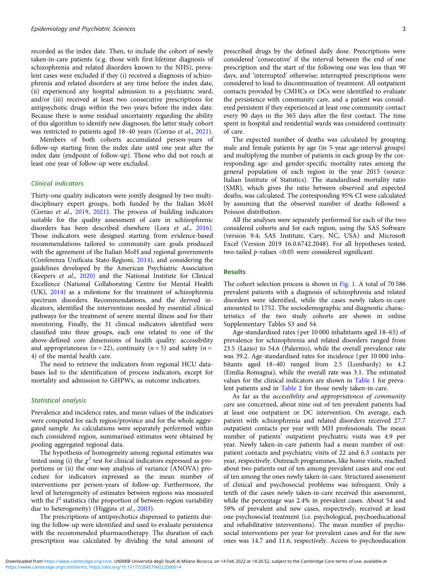recorded as the index date. Then, to include the cohort of newly taken-in-care patients (e.g. those with first-lifetime diagnosis of schizophrenia and related disorders known to the NHS), prevalent cases were excluded if they (i) received a diagnosis of schizophrenia and related disorders at any time before the index date, (ii) experienced any hospital admission to a psychiatric ward, and/or (iii) received at least two consecutive prescriptions for antipsychotic drugs within the two years before the index date. Because there is some residual uncertainty regarding the ability of this algorithm to identify new diagnoses, the latter study cohort was restricted to patients aged 18–40 years (Corrao et al., [2021\)](#page-9-0).

Members of both cohorts accumulated person-years of follow-up starting from the index date until one year after the index date (endpoint of follow-up). Those who did not reach at least one year of follow-up were excluded.

## Clinical indicators

Thirty-one quality indicators were jointly designed by two multidisciplinary expert groups, both funded by the Italian MoH (Corrao et al., [2019](#page-9-0), [2021\)](#page-9-0). The process of building indicators suitable for the quality assessment of care in schizophrenic disorders has been described elsewhere (Lora et al., [2016\)](#page-10-0). Those indicators were designed starting from evidence-based recommendations tailored to community care goals produced with the agreement of the Italian MoH and regional governments (Conferenza Unificata Stato-Regioni, [2014\)](#page-9-0), and considering the guidelines developed by the American Psychiatric Association (Keepers et al., [2020](#page-10-0)) and the National Institute for Clinical Excellence (National Collaborating Centre for Mental Health (UK), [2014\)](#page-10-0) as a milestone for the treatment of schizophrenia spectrum disorders. Recommendations, and the derived indicators, identified the interventions needed by essential clinical pathways for the treatment of severe mental illness and for their monitoring. Finally, the 31 clinical indicators identified were classified into three groups, each one related to one of the above-defined core dimensions of health quality: accessibility and appropriateness ( $n = 22$ ), continuity ( $n = 5$ ) and safety ( $n =$ 4) of the mental health care.

The need to retrieve the indicators from regional HCU databases led to the identification of process indicators, except for mortality and admission to GHPWs, as outcome indicators.

### Statistical analysis

Prevalence and incidence rates, and mean values of the indicators were computed for each region/province and for the whole aggregated sample. As calculations were separately performed within each considered region, summarised estimates were obtained by pooling aggregated regional data.

The hypothesis of homogeneity among regional estimates was tested using (i) the  $\chi^2$  test for clinical indicators expressed as proportions or (ii) the one-way analysis of variance (ANOVA) procedure for indicators expressed as the mean number of interventions per person-years of follow-up. Furthermore, the level of heterogeneity of estimates between regions was measured with the  $I^2$  statistics (the proportion of between-region variability due to heterogeneity) (Higgins et al., [2003](#page-9-0)).

The prescriptions of antipsychotics dispensed to patients during the follow-up were identified and used to evaluate persistence with the recommended pharmacotherapy. The duration of each prescription was calculated by dividing the total amount of

prescribed drugs by the defined daily dose. Prescriptions were considered 'consecutive' if the interval between the end of one prescription and the start of the following one was less than 90 days, and 'interrupted' otherwise; interrupted prescriptions were considered to lead to discontinuation of treatment. All outpatient contacts provided by CMHCs or DCs were identified to evaluate the persistence with community care, and a patient was considered persistent if they experienced at least one community contact every 90 days in the 365 days after the first contact. The time spent in hospital and residential wards was considered continuity of care.

The expected number of deaths was calculated by grouping male and female patients by age (in 5-year age-interval groups) and multiplying the number of patients in each group by the corresponding age- and gender-specific mortality rates among the general population of each region in the year 2015 (source: Italian Institute of Statistics). The standardised mortality ratio (SMR), which gives the ratio between observed and expected deaths, was calculated. The corresponding 95% CI were calculated by assuming that the observed number of deaths followed a Poisson distribution.

All the analyses were separately performed for each of the two considered cohorts and for each region, using the SAS Software (version 9.4; SAS Institute, Cary, NC, USA) and Microsoft Excel (Version 2019 16.0.6742.2048). For all hypotheses tested, two-tailed p-values <0.05 were considered significant.

# Results

The cohort selection process is shown in [Fig. 1](#page-3-0). A total of 70 586 prevalent patients with a diagnosis of schizophrenia and related disorders were identified, while the cases newly taken-in-care amounted to 1752. The sociodemographic and diagnostic characteristics of the two study cohorts are shown in online Supplementary Tables S3 and S4.

Age-standardised rates (per 10 000 inhabitants aged 18–65) of prevalence for schizophrenia and related disorders ranged from 23.5 (Lazio) to 54.6 (Palermo), while the overall prevalence rate was 39.2. Age-standardised rates for incidence (per 10 000 inhabitants aged 18–40) ranged from 2.5 (Lombardy) to 4.2 (Emilia-Romagna), while the overall rate was 3.1. The estimated values for the clinical indicators are shown in [Table 1](#page-4-0) for prevalent patients and in [Table 2](#page-6-0) for those newly taken-in-care.

As far as the accessibility and appropriateness of community care are concerned, about nine out of ten prevalent patients had at least one outpatient or DC intervention. On average, each patient with schizophrenia and related disorders received 27.7 outpatient contacts per year with MH professionals. The mean number of patients' outpatient psychiatric visits was 4.9 per year. Newly taken-in-care patients had a mean number of outpatient contacts and psychiatric visits of 22 and 6.3 contacts per year, respectively. Outreach programmes, like home visits, reached about two patients out of ten among prevalent cases and one out of ten among the ones newly taken-in-care. Structured assessment of clinical and psychosocial problems was infrequent. Only a tenth of the cases newly taken-in-care received this assessment, while the percentage was 2.4% in prevalent cases. About 54 and 59% of prevalent and new cases, respectively, received at least one psychosocial treatment (i.e. psychological, psychoeducational and rehabilitative interventions). The mean number of psychosocial interventions per year for prevalent cases and for the new ones was 14.7 and 11.6, respectively. Access to psychoeducation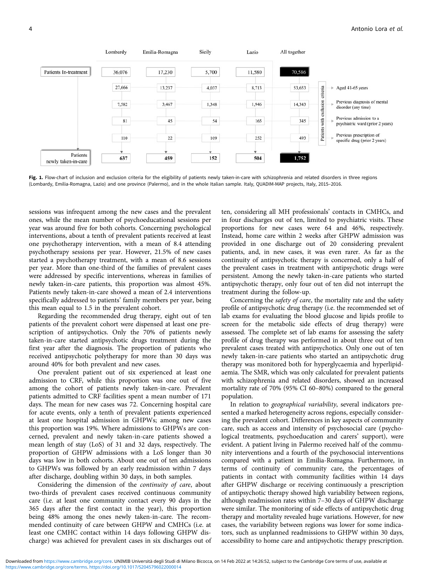<span id="page-3-0"></span>

Fig. 1. Flow-chart of inclusion and exclusion criteria for the eligibility of patients newly taken-in-care with schizophrenia and related disorders in three regions (Lombardy, Emilia-Romagna, Lazio) and one province (Palermo), and in the whole Italian sample. Italy, QUADIM-MAP projects, Italy, 2015–2016.

sessions was infrequent among the new cases and the prevalent ones, while the mean number of psychoeducational sessions per year was around five for both cohorts. Concerning psychological interventions, about a tenth of prevalent patients received at least one psychotherapy intervention, with a mean of 8.4 attending psychotherapy sessions per year. However, 21.5% of new cases started a psychotherapy treatment, with a mean of 8.6 sessions per year. More than one-third of the families of prevalent cases were addressed by specific interventions, whereas in families of newly taken-in-care patients, this proportion was almost 45%. Patients newly taken-in-care showed a mean of 2.4 interventions specifically addressed to patients' family members per year, being this mean equal to 1.5 in the prevalent cohort.

Regarding the recommended drug therapy, eight out of ten patients of the prevalent cohort were dispensed at least one prescription of antipsychotics. Only the 70% of patients newly taken-in-care started antipsychotic drugs treatment during the first year after the diagnosis. The proportion of patients who received antipsychotic polytherapy for more than 30 days was around 40% for both prevalent and new cases.

One prevalent patient out of six experienced at least one admission to CRF, while this proportion was one out of five among the cohort of patients newly taken-in-care. Prevalent patients admitted to CRF facilities spent a mean number of 171 days. The mean for new cases was 72. Concerning hospital care for acute events, only a tenth of prevalent patients experienced at least one hospital admission in GHPWs; among new cases this proportion was 19%. Where admissions to GHPWs are concerned, prevalent and newly taken-in-care patients showed a mean length of stay (LoS) of 31 and 32 days, respectively. The proportion of GHPW admissions with a LoS longer than 30 days was low in both cohorts. About one out of ten admissions to GHPWs was followed by an early readmission within 7 days after discharge, doubling within 30 days, in both samples.

Considering the dimension of the continuity of care, about two-thirds of prevalent cases received continuous community care (i.e. at least one community contact every 90 days in the 365 days after the first contact in the year), this proportion being 48% among the ones newly taken-in-care. The recommended continuity of care between GHPW and CMHCs (i.e. at least one CMHC contact within 14 days following GHPW discharge) was achieved for prevalent cases in six discharges out of

ten, considering all MH professionals' contacts in CMHCs, and in four discharges out of ten, limited to psychiatric visits. These proportions for new cases were 64 and 46%, respectively. Instead, home care within 2 weeks after GHPW admission was provided in one discharge out of 20 considering prevalent patients, and, in new cases, it was even rarer. As far as the continuity of antipsychotic therapy is concerned, only a half of the prevalent cases in treatment with antipsychotic drugs were persistent. Among the newly taken-in-care patients who started antipsychotic therapy, only four out of ten did not interrupt the treatment during the follow-up.

Concerning the safety of care, the mortality rate and the safety profile of antipsychotic drug therapy (i.e. the recommended set of lab exams for evaluating the blood glucose and lipids profile to screen for the metabolic side effects of drug therapy) were assessed. The complete set of lab exams for assessing the safety profile of drug therapy was performed in about three out of ten prevalent cases treated with antipsychotics. Only one out of ten newly taken-in-care patients who started an antipsychotic drug therapy was monitored both for hyperglycaemia and hyperlipidaemia. The SMR, which was only calculated for prevalent patients with schizophrenia and related disorders, showed an increased mortality rate of 70% (95% CI 60–80%) compared to the general population.

In relation to geographical variability, several indicators presented a marked heterogeneity across regions, especially considering the prevalent cohort. Differences in key aspects of community care, such as access and intensity of psychosocial care (psychological treatments, psychoeducation and carers' support), were evident. A patient living in Palermo received half of the community interventions and a fourth of the psychosocial interventions compared with a patient in Emilia-Romagna. Furthermore, in terms of continuity of community care, the percentages of patients in contact with community facilities within 14 days after GHPW discharge or receiving continuously a prescription of antipsychotic therapy showed high variability between regions, although readmission rates within 7–30 days of GHPW discharge were similar. The monitoring of side effects of antipsychotic drug therapy and mortality revealed huge variations. However, for new cases, the variability between regions was lower for some indicators, such as unplanned readmissions to GHPW within 30 days, accessibility to home care and antipsychotic therapy prescription.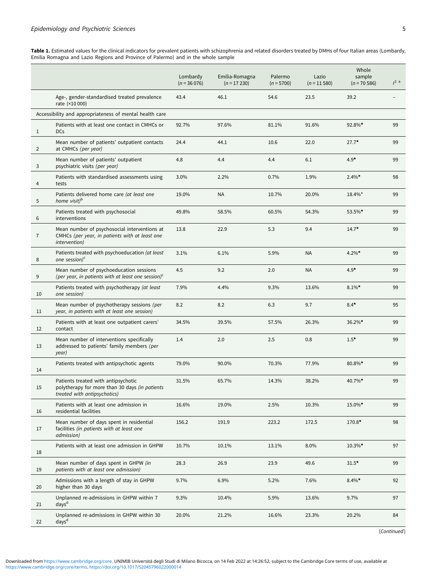<span id="page-4-0"></span>Table 1. Estimated values for the clinical indicators for prevalent patients with schizophrenia and related disorders treated by DMHs of four Italian areas (Lombardy, Emilia Romagna and Lazio Regions and Province of Palermo) and in the whole sample

|                |                                                                                                                         | Lombardy<br>$(n = 36076)$ | Emilia-Romagna<br>$(n = 17230)$ | Palermo<br>$(n = 5700)$ | Lazio<br>$(n = 11 580)$ | Whole<br>sample<br>$(n = 70586)$ | $1^2$ a |
|----------------|-------------------------------------------------------------------------------------------------------------------------|---------------------------|---------------------------------|-------------------------|-------------------------|----------------------------------|---------|
|                | Age-, gender-standardised treated prevalence<br>rate (×10 000)                                                          | 43.4                      | 46.1                            | 54.6                    | 23.5                    | 39.2                             |         |
|                | Accessibility and appropriateness of mental health care                                                                 |                           |                                 |                         |                         |                                  |         |
| $\mathbf{1}$   | Patients with at least one contact in CMHCs or<br><b>DCs</b>                                                            | 92.7%                     | 97.6%                           | 81.1%                   | 91.6%                   | 92.8%*                           | 99      |
| $\overline{2}$ | Mean number of patients' outpatient contacts<br>at CMHCs (per year)                                                     | 24.4                      | 44.1                            | 10.6                    | 22.0                    | $27.7*$                          | 99      |
| 3              | Mean number of patients' outpatient<br>psychiatric visits (per year)                                                    | 4.8                       | 4.4                             | 4.4                     | 6.1                     | $4.9*$                           | 99      |
| 4              | Patients with standardised assessments using<br>tests                                                                   | 3.0%                      | 2.2%                            | 0.7%                    | 1.9%                    | $2.4\%$ *                        | 98      |
| 5              | Patients delivered home care (at least one<br>home visit) <sup>b</sup>                                                  | 19.0%                     | <b>NA</b>                       | 10.7%                   | 20.0%                   | 18.4%*                           | 99      |
| 6              | Patients treated with psychosocial<br>interventions                                                                     | 49.8%                     | 58.5%                           | 60.5%                   | 54.3%                   | 53.5%*                           | 99      |
| $\overline{7}$ | Mean number of psychosocial interventions at<br>CMHCs (per year, in patients with at least one<br><i>intervention</i> ) | 13.8                      | 22.9                            | 5.3                     | 9.4                     | $14.7*$                          | 99      |
| 8              | Patients treated with psychoeducation (at least<br>one session) $c$                                                     | 3.1%                      | 6.1%                            | 5.9%                    | <b>NA</b>               | $4.2\%$ *                        | 99      |
| 9              | Mean number of psychoeducation sessions<br>(per year, in patients with at least one session) $c$                        | 4.5                       | 9.2                             | 2.0                     | <b>NA</b>               | $4.9*$                           | 99      |
| 10             | Patients treated with psychotherapy (at least<br>one session)                                                           | 7.9%                      | 4.4%                            | 9.3%                    | 13.6%                   | $8.1\%$ *                        | 99      |
| 11             | Mean number of psychotherapy sessions (per<br>year, in patients with at least one session)                              | 8.2                       | 8.2                             | 6.3                     | 9.7                     | $8.4*$                           | 95      |
| 12             | Patients with at least one outpatient carers'<br>contact                                                                | 34.5%                     | 39.5%                           | 57.5%                   | 26.3%                   | 36.2%*                           | 99      |
| 13             | Mean number of interventions specifically<br>addressed to patients' family members (per<br>year)                        | 1.4                       | 2.0                             | 2.5                     | 0.8                     | $1.5*$                           | 99      |
| 14             | Patients treated with antipsychotic agents                                                                              | 79.0%                     | 90.0%                           | 70.3%                   | 77.9%                   | 80.8%*                           | 99      |
| 15             | Patients treated with antipsychotic<br>polytherapy for more than 30 days (in patients<br>treated with antipsychotics)   | 31.5%                     | 65.7%                           | 14.3%                   | 38.2%                   | 40.7%*                           | 99      |
| 16             | Patients with at least one admission in<br>residential facilities                                                       | 16.6%                     | 19.0%                           | 2.5%                    | 10.3%                   | 15.0%*                           | 99      |
| 17             | Mean number of days spent in residential<br>facilities (in patients with at least one<br>admission)                     | 156.2                     | 191.9                           | 223.2                   | 172.5                   | $170.8*$                         | 98      |
| 18             | Patients with at least one admission in GHPW                                                                            | 10.7%                     | 10.1%                           | 13.1%                   | 8.0%                    | $10.3\%$ *                       | 97      |
| 19             | Mean number of days spent in GHPW (in<br>patients with at least one admission)                                          | 28.3                      | 26.9                            | 23.9                    | 49.6                    | $31.5*$                          | 99      |
| 20             | Admissions with a length of stay in GHPW<br>higher than 30 days                                                         | 9.7%                      | 6.9%                            | 5.2%                    | 7.6%                    | $8.4\%$ *                        | 92      |
| 21             | Unplanned re-admissions in GHPW within 7<br>days <sup>d</sup>                                                           | 9.3%                      | 10.4%                           | 5.9%                    | 13.6%                   | 9.7%                             | 97      |
| 22             | Unplanned re-admissions in GHPW within 30<br>days <sup>d</sup>                                                          | 20.0%                     | 21.2%                           | 16.6%                   | 23.3%                   | 20.2%                            | 84      |

(Continued)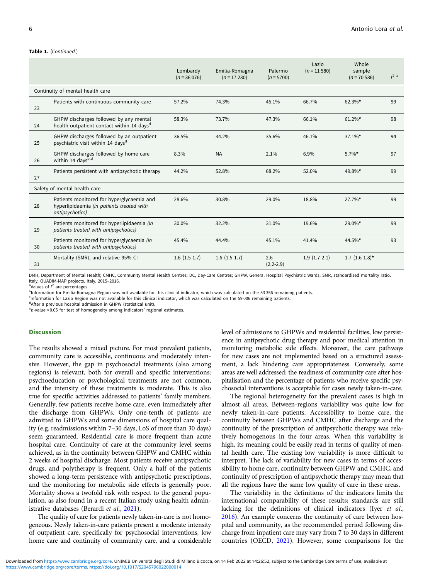#### Table 1. (Continued.)

|                                  |                                                                                                           | Lombardy<br>$(n = 36076)$ | Emilia-Romagna<br>$(n = 17230)$ | Palermo<br>$(n = 5700)$ | Lazio<br>$(n = 11580)$ | Whole<br>sample<br>$(n = 70586)$ | $1^2$ a |
|----------------------------------|-----------------------------------------------------------------------------------------------------------|---------------------------|---------------------------------|-------------------------|------------------------|----------------------------------|---------|
| Continuity of mental health care |                                                                                                           |                           |                                 |                         |                        |                                  |         |
| 23                               | Patients with continuous community care                                                                   | 57.2%                     | 74.3%                           | 45.1%                   | 66.7%                  | $62.3\%$ *                       | 99      |
| 24                               | GHPW discharges followed by any mental<br>health outpatient contact within 14 days <sup>d</sup>           | 58.3%                     | 73.7%                           | 47.3%                   | 66.1%                  | $61.2\%$ *                       | 98      |
| 25                               | GHPW discharges followed by an outpatient<br>psychiatric visit within 14 days <sup>d</sup>                | 36.5%                     | 34.2%                           | 35.6%                   | 46.1%                  | $37.1\%$ *                       | 94      |
| 26                               | GHPW discharges followed by home care<br>within 14 days <sup>b,d</sup>                                    | 8.3%                      | <b>NA</b>                       | 2.1%                    | 6.9%                   | $5.7\%$ *                        | 97      |
| 27                               | Patients persistent with antipsychotic therapy                                                            | 44.2%                     | 52.8%                           | 68.2%                   | 52.0%                  | 49.8%*                           | 99      |
| Safety of mental health care     |                                                                                                           |                           |                                 |                         |                        |                                  |         |
| 28                               | Patients monitored for hyperglycaemia and<br>hyperlipidaemia (in patients treated with<br>antipsychotics) | 28.6%                     | 30.8%                           | 29.0%                   | 18.8%                  | 27.7%*                           | 99      |
| 29                               | Patients monitored for hyperlipidaemia (in<br>patients treated with antipsychotics)                       | 30.0%                     | 32.2%                           | 31.0%                   | 19.6%                  | 29.0%*                           | 99      |
| 30                               | Patients monitored for hyperglycaemia (in<br>patients treated with antipsychotics)                        | 45.4%                     | 44.4%                           | 45.1%                   | 41.4%                  | 44.5%*                           | 93      |
| 31                               | Mortality (SMR), and relative 95% CI                                                                      | $1.6(1.5-1.7)$            | $1.6(1.5-1.7)$                  | 2.6<br>$(2.2 - 2.9)$    | $1.9(1.7-2.1)$         | $1.7(1.6-1.8)$ *                 |         |

DMH, Department of Mental Health; CMHC, Community Mental Health Centres; DC, Day-Care Centres; GHPW, General Hospital Psychiatric Wards; SMR, standardised mortality ratio. Italy, QUADIM-MAP projects, Italy, 2015-2016.

<sup>a</sup>Values of  $I^2$  are percentages.

<sup>b</sup>Information for Emilia-Romagna Region was not available for this clinical indicator, which was calculated on the 53 356 remaining patients.

<sup>c</sup>Information for Lazio Region was not available for this clinical indicator, which was calculated on the 59 006 remaining patients.

dAfter a previous hospital admission in GHPW (statistical unit).

 $p$ -value < 0.05 for test of homogeneity among indicators' regional estimates.

### **Discussion**

The results showed a mixed picture. For most prevalent patients, community care is accessible, continuous and moderately intensive. However, the gap in psychosocial treatments (also among regions) is relevant, both for overall and specific interventions: psychoeducation or psychological treatments are not common, and the intensity of these treatments is moderate. This is also true for specific activities addressed to patients' family members. Generally, few patients receive home care, even immediately after the discharge from GHPWs. Only one-tenth of patients are admitted to GHPWs and some dimensions of hospital care quality (e.g. readmissions within 7–30 days, LoS of more than 30 days) seem guaranteed. Residential care is more frequent than acute hospital care. Continuity of care at the community level seems achieved, as in the continuity between GHPW and CMHC within 2 weeks of hospital discharge. Most patients receive antipsychotic drugs, and polytherapy is frequent. Only a half of the patients showed a long-term persistence with antipsychotic prescriptions, and the monitoring for metabolic side effects is generally poor. Mortality shows a twofold risk with respect to the general population, as also found in a recent Italian study using health admin-istrative databases (Berardi et al., [2021\)](#page-9-0).

The quality of care for patients newly taken-in-care is not homogeneous. Newly taken-in-care patients present a moderate intensity of outpatient care, specifically for psychosocial interventions, low home care and continuity of community care, and a considerable level of admissions to GHPWs and residential facilities, low persistence in antipsychotic drug therapy and poor medical attention in monitoring metabolic side effects. Moreover, the care pathways for new cases are not implemented based on a structured assessment, a lack hindering care appropriateness. Conversely, some areas are well addressed: the readiness of community care after hospitalisation and the percentage of patients who receive specific psychosocial interventions is acceptable for cases newly taken-in-care.

The regional heterogeneity for the prevalent cases is high in almost all areas. Between-regions variability was quite low for newly taken-in-care patients. Accessibility to home care, the continuity between GHPWs and CMHC after discharge and the continuity of the prescription of antipsychotic therapy was relatively homogenous in the four areas. When this variability is high, its meaning could be easily read in terms of quality of mental health care. The existing low variability is more difficult to interpret. The lack of variability for new cases in terms of accessibility to home care, continuity between GHPW and CMHC, and continuity of prescription of antipsychotic therapy may mean that all the regions have the same low quality of care in these areas.

The variability in the definitions of the indicators limits the international comparability of these results; standards are still lacking for the definitions of clinical indicators (Iyer et al., [2016\)](#page-10-0). An example concerns the continuity of care between hospital and community, as the recommended period following discharge from inpatient care may vary from 7 to 30 days in different countries (OECD, [2021\)](#page-10-0). However, some comparisons for the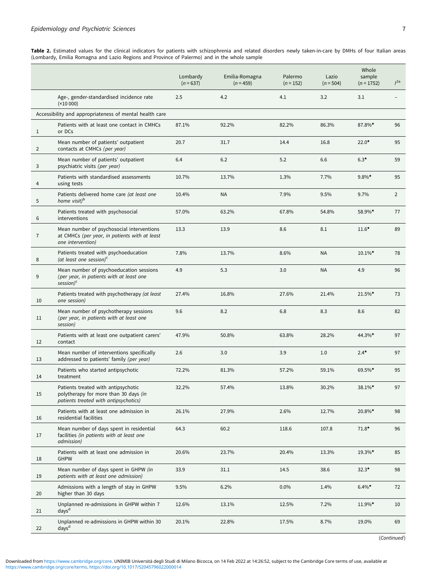<span id="page-6-0"></span>Table 2. Estimated values for the clinical indicators for patients with schizophrenia and related disorders newly taken-in-care by DMHs of four Italian areas (Lombardy, Emilia Romagna and Lazio Regions and Province of Palermo) and in the whole sample

|                   |                                                                                                                       | Lombardy<br>$(n = 637)$ | Emilia-Romagna<br>$(n = 459)$ | Palermo<br>$(n = 152)$ | Lazio<br>$(n = 504)$ | Whole<br>sample<br>$(n = 1752)$ | I <sup>2a</sup> |
|-------------------|-----------------------------------------------------------------------------------------------------------------------|-------------------------|-------------------------------|------------------------|----------------------|---------------------------------|-----------------|
|                   | Age-, gender-standardised incidence rate<br>(x10000)                                                                  | 2.5                     | 4.2                           | 4.1                    | 3.2                  | 3.1                             |                 |
|                   | Accessibility and appropriateness of mental health care                                                               |                         |                               |                        |                      |                                 |                 |
| $\mathbf{1}$      | Patients with at least one contact in CMHCs<br>or DCs                                                                 | 87.1%                   | 92.2%                         | 82.2%                  | 86.3%                | 87.8%*                          | 96              |
| $\overline{2}$    | Mean number of patients' outpatient<br>contacts at CMHCs (per year)                                                   | 20.7                    | 31.7                          | 14.4                   | 16.8                 | $22.0*$                         | 95              |
| 3                 | Mean number of patients' outpatient<br>psychiatric visits (per year)                                                  | 6.4                     | 6.2                           | 5.2                    | 6.6                  | $6.3*$                          | 59              |
| 4                 | Patients with standardised assessments<br>using tests                                                                 | 10.7%                   | 13.7%                         | 1.3%                   | 7.7%                 | $9.8\%$ *                       | 95              |
| 5                 | Patients delivered home care (at least one<br>home visit) <sup>b</sup>                                                | 10.4%                   | <b>NA</b>                     | 7.9%                   | 9.5%                 | 9.7%                            | $\overline{2}$  |
| 6                 | Patients treated with psychosocial<br>interventions                                                                   | 57.0%                   | 63.2%                         | 67.8%                  | 54.8%                | 58.9%*                          | 77              |
| $\overline{7}$    | Mean number of psychosocial interventions<br>at CMHCs (per year, in patients with at least<br>one intervention)       | 13.3                    | 13.9                          | 8.6                    | 8.1                  | $11.6*$                         | 89              |
| 8                 | Patients treated with psychoeducation<br>(at least one session) $c$                                                   | 7.8%                    | 13.7%                         | 8.6%                   | <b>NA</b>            | $10.1\%$ *                      | 78              |
| 9                 | Mean number of psychoeducation sessions<br>(per year, in patients with at least one<br>$session$ <sup>c</sup>         | 4.9                     | 5.3                           | 3.0                    | <b>NA</b>            | 4.9                             | 96              |
| 10                | Patients treated with psychotherapy (at least<br>one session)                                                         | 27.4%                   | 16.8%                         | 27.6%                  | 21.4%                | 21.5%*                          | 73              |
| 11                | Mean number of psychotherapy sessions<br>(per year, in patients with at least one<br>session)                         | 9.6                     | 8.2                           | 6.8                    | 8.3                  | 8.6                             | 82              |
| $12 \overline{ }$ | Patients with at least one outpatient carers'<br>contact                                                              | 47.9%                   | 50.8%                         | 63.8%                  | 28.2%                | 44.3%*                          | 97              |
| 13                | Mean number of interventions specifically<br>addressed to patients' family (per year)                                 | 2.6                     | 3.0                           | 3.9                    | 1.0                  | $2.4*$                          | 97              |
| 14                | Patients who started antipsychotic<br>treatment                                                                       | 72.2%                   | 81.3%                         | 57.2%                  | 59.1%                | 69.5%*                          | 95              |
| $15\,$            | Patients treated with antipsychotic<br>polytherapy for more than 30 days (in<br>patients treated with antipsychotics) | 32.2%                   | 57.4%                         | 13.8%                  | 30.2%                | 38.1%*                          | 97              |
| 16                | Patients with at least one admission in<br>residential facilities                                                     | 26.1%                   | 27.9%                         | 2.6%                   | 12.7%                | 20.8%*                          | 98              |
| 17                | Mean number of days spent in residential<br>facilities (in patients with at least one<br>admission)                   | 64.3                    | 60.2                          | 118.6                  | 107.8                | $71.8*$                         | 96              |
| 18                | Patients with at least one admission in<br><b>GHPW</b>                                                                | 20.6%                   | 23.7%                         | 20.4%                  | 13.3%                | 19.3%*                          | 85              |
| 19                | Mean number of days spent in GHPW (in<br>patients with at least one admission)                                        | 33.9                    | 31.1                          | 14.5                   | 38.6                 | $32.3*$                         | 98              |
| 20                | Admissions with a length of stay in GHPW<br>higher than 30 days                                                       | 9.5%                    | 6.2%                          | $0.0\%$                | 1.4%                 | $6.4\%*$                        | 72              |
| 21                | Unplanned re-admissions in GHPW within 7<br>days <sup>d</sup>                                                         | 12.6%                   | 13.1%                         | 12.5%                  | 7.2%                 | 11.9%*                          | 10              |
| 22                | Unplanned re-admissions in GHPW within 30<br>days <sup>d</sup>                                                        | 20.1%                   | 22.8%                         | 17.5%                  | 8.7%                 | 19.0%                           | 69              |

(Continued)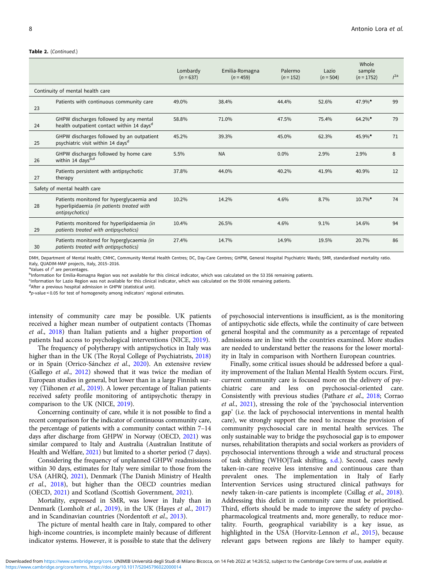#### Table 2. (Continued.)

|                              |                                                                                                           | Lombardy<br>$(n = 637)$ | Emilia-Romagna<br>$(n = 459)$ | Palermo<br>$(n = 152)$ | Lazio<br>$(n = 504)$ | Whole<br>sample<br>$(n = 1752)$ | I <sup>2a</sup> |
|------------------------------|-----------------------------------------------------------------------------------------------------------|-------------------------|-------------------------------|------------------------|----------------------|---------------------------------|-----------------|
|                              | Continuity of mental health care                                                                          |                         |                               |                        |                      |                                 |                 |
| 23                           | Patients with continuous community care                                                                   | 49.0%                   | 38.4%                         | 44.4%                  | 52.6%                | 47.9%*                          | 99              |
| 24                           | GHPW discharges followed by any mental<br>health outpatient contact within 14 days <sup>d</sup>           | 58.8%                   | 71.0%                         | 47.5%                  | 75.4%                | 64.2%*                          | 79              |
| 25                           | GHPW discharges followed by an outpatient<br>psychiatric visit within 14 days <sup>d</sup>                | 45.2%                   | 39.3%                         | 45.0%                  | 62.3%                | 45.9%*                          | 71              |
| 26                           | GHPW discharges followed by home care<br>within 14 days <sup>b,d</sup>                                    | 5.5%                    | <b>NA</b>                     | $0.0\%$                | 2.9%                 | 2.9%                            | 8               |
| 27                           | Patients persistent with antipsychotic<br>therapy                                                         | 37.8%                   | 44.0%                         | 40.2%                  | 41.9%                | 40.9%                           | 12              |
| Safety of mental health care |                                                                                                           |                         |                               |                        |                      |                                 |                 |
| 28                           | Patients monitored for hyperglycaemia and<br>hyperlipidaemia (in patients treated with<br>antipsychotics) | 10.2%                   | 14.2%                         | 4.6%                   | 8.7%                 | $10.7\%$ *                      | 74              |
| 29                           | Patients monitored for hyperlipidaemia (in<br>patients treated with antipsychotics)                       | 10.4%                   | 26.5%                         | 4.6%                   | 9.1%                 | 14.6%                           | 94              |
| 30                           | Patients monitored for hyperglycaemia (in<br>patients treated with antipsychotics)                        | 27.4%                   | 14.7%                         | 14.9%                  | 19.5%                | 20.7%                           | 86              |

DMH, Department of Mental Health; CMHC, Community Mental Health Centres; DC, Day-Care Centres; GHPW, General Hospital Psychiatric Wards; SMR, standardised mortality ratio. Italy, QUADIM-MAP projects, Italy, 2015-2016.

<sup>a</sup>Values of  $I^2$  are percentages.<br>butormation for Emilia Roma

<sup>b</sup>Information for Emilia-Romagna Region was not available for this clinical indicator, which was calculated on the 53 356 remaining patients.

c Information for Lazio Region was not available for this clinical indicator, which was calculated on the 59 006 remaining patients.

<sup>d</sup>After a previous hospital admission in GHPW (statistical unit).

 $p$ -value < 0.05 for test of homogeneity among indicators' regional estimates

intensity of community care may be possible. UK patients received a higher mean number of outpatient contacts (Thomas et al., [2018](#page-10-0)) than Italian patients and a higher proportion of patients had access to psychological interventions (NICE, [2019](#page-10-0)).

The frequency of polytherapy with antipsychotics in Italy was higher than in the UK (The Royal College of Psychiatrists, [2018\)](#page-10-0) or in Spain (Orrico-Sánchez et al., [2020\)](#page-10-0). An extensive review (Gallego et al., [2012\)](#page-9-0) showed that it was twice the median of European studies in general, but lower than in a large Finnish survey (Tiihonen et al., [2019](#page-10-0)). A lower percentage of Italian patients received safety profile monitoring of antipsychotic therapy in comparison to the UK (NICE, [2019\)](#page-10-0).

Concerning continuity of care, while it is not possible to find a recent comparison for the indicator of continuous community care, the percentage of patients with a community contact within 7–14 days after discharge from GHPW in Norway (OECD, [2021](#page-10-0)) was similar compared to Italy and Australia (Australian Institute of Health and Welfare, [2021](#page-9-0)) but limited to a shorter period (7 days).

Considering the frequency of unplanned GHPW readmissions within 30 days, estimates for Italy were similar to those from the USA (AHRQ, [2021](#page-9-0)), Denmark (The Danish Ministry of Health et al., [2018](#page-10-0)), but higher than the OECD countries median (OECD, [2021](#page-10-0)) and Scotland (Scottish Government, [2021](#page-10-0)).

Mortality, expressed in SMR, was lower in Italy than in Denmark (Lomholt et al., [2019](#page-10-0)), in the UK (Hayes et al., [2017\)](#page-9-0) and in Scandinavian countries (Nordentoft et al., [2013](#page-10-0)).

The picture of mental health care in Italy, compared to other high-income countries, is incomplete mainly because of different indicator systems. However, it is possible to state that the delivery

of psychosocial interventions is insufficient, as is the monitoring of antipsychotic side effects, while the continuity of care between general hospital and the community as a percentage of repeated admissions are in line with the countries examined. More studies are needed to understand better the reasons for the lower mortality in Italy in comparison with Northern European countries.

Finally, some critical issues should be addressed before a quality improvement of the Italian Mental Health System occurs. First, current community care is focused more on the delivery of psychiatric care and less on psychosocial-oriented care. Consistently with previous studies (Pathare et al., [2018](#page-10-0); Corrao et al., [2021\)](#page-9-0), stressing the role of the 'psychosocial intervention gap' (i.e. the lack of psychosocial interventions in mental health care), we strongly support the need to increase the provision of community psychosocial care in mental health services. The only sustainable way to bridge the psychosocial gap is to empower nurses, rehabilitation therapists and social workers as providers of psychosocial interventions through a wide and structural process of task shifting (WHO|Task shifting, [s.d.\)](#page-11-0). Second, cases newly taken-in-care receive less intensive and continuous care than prevalent ones. The implementation in Italy of Early Intervention Services using structured clinical pathways for newly taken-in-care patients is incomplete (Csillag et al., [2018](#page-9-0)). Addressing this deficit in community care must be prioritised. Third, efforts should be made to improve the safety of psychopharmacological treatments and, more generally, to reduce mortality. Fourth, geographical variability is a key issue, as highlighted in the USA (Horvitz-Lennon et al., [2015\)](#page-9-0), because relevant gaps between regions are likely to hamper equity.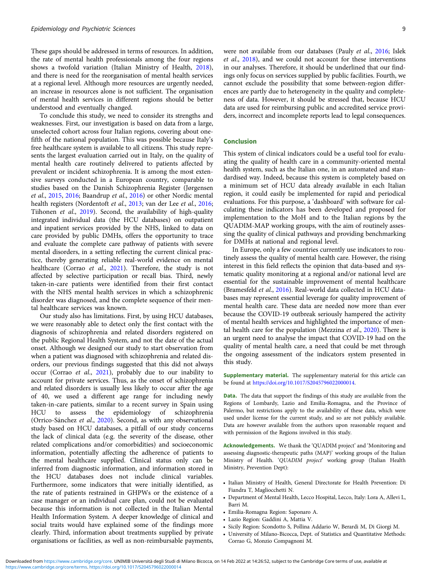These gaps should be addressed in terms of resources. In addition, the rate of mental health professionals among the four regions shows a twofold variation (Italian Ministry of Health, [2018\)](#page-10-0), and there is need for the reorganisation of mental health services at a regional level. Although more resources are urgently needed, an increase in resources alone is not sufficient. The organisation of mental health services in different regions should be better understood and eventually changed.

To conclude this study, we need to consider its strengths and weaknesses. First, our investigation is based on data from a large, unselected cohort across four Italian regions, covering about onefifth of the national population. This was possible because Italy's free healthcare system is available to all citizens. This study represents the largest evaluation carried out in Italy, on the quality of mental health care routinely delivered to patients affected by prevalent or incident schizophrenia. It is among the most extensive surveys conducted in a European country, comparable to studies based on the Danish Schizophrenia Register (Jørgensen et al., [2015,](#page-10-0) [2016;](#page-10-0) Baandrup et al., [2016](#page-9-0)) or other Nordic mental health registers (Nordentoft et al., [2013](#page-10-0); van der Lee et al., [2016;](#page-11-0) Tiihonen et al., [2019](#page-10-0)). Second, the availability of high-quality integrated individual data (the HCU databases) on outpatient and inpatient services provided by the NHS, linked to data on care provided by public DMHs, offers the opportunity to trace and evaluate the complete care pathway of patients with severe mental disorders, in a setting reflecting the current clinical practice, thereby generating reliable real-world evidence on mental healthcare (Corrao et al., [2021](#page-9-0)). Therefore, the study is not affected by selective participation or recall bias. Third, newly taken-in-care patients were identified from their first contact with the NHS mental health services in which a schizophrenic disorder was diagnosed, and the complete sequence of their mental healthcare services was known.

Our study also has limitations. First, by using HCU databases, we were reasonably able to detect only the first contact with the diagnosis of schizophrenia and related disorders registered on the public Regional Health System, and not the date of the actual onset. Although we designed our study to start observation from when a patient was diagnosed with schizophrenia and related disorders, our previous findings suggested that this did not always occur (Corrao et al., [2021](#page-9-0)), probably due to our inability to account for private services. Thus, as the onset of schizophrenia and related disorders is usually less likely to occur after the age of 40, we used a different age range for including newly taken-in-care patients, similar to a recent survey in Spain using HCU to assess the epidemiology of schizophrenia (Orrico-Sánchez et al., [2020](#page-10-0)). Second, as with any observational study based on HCU databases, a pitfall of our study concerns the lack of clinical data (e.g. the severity of the disease, other related complications and/or comorbidities) and socioeconomic information, potentially affecting the adherence of patients to the mental healthcare supplied. Clinical status only can be inferred from diagnostic information, and information stored in the HCU databases does not include clinical variables. Furthermore, some indicators that were initially identified, as the rate of patients restrained in GHPWs or the existence of a case manager or an individual care plan, could not be evaluated because this information is not collected in the Italian Mental Health Information System. A deeper knowledge of clinical and social traits would have explained some of the findings more clearly. Third, information about treatments supplied by private organisations or facilities, as well as non-reimbursable payments,

were not available from our databases (Pauly et al., [2016;](#page-10-0) Islek et al., [2018](#page-10-0)), and we could not account for these interventions in our analyses. Therefore, it should be underlined that our findings only focus on services supplied by public facilities. Fourth, we cannot exclude the possibility that some between-region differences are partly due to heterogeneity in the quality and completeness of data. However, it should be stressed that, because HCU data are used for reimbursing public and accredited service providers, incorrect and incomplete reports lead to legal consequences.

# Conclusion

This system of clinical indicators could be a useful tool for evaluating the quality of health care in a community-oriented mental health system, such as the Italian one, in an automated and standardised way. Indeed, because this system is completely based on a minimum set of HCU data already available in each Italian region, it could easily be implemented for rapid and periodical evaluations. For this purpose, a 'dashboard' with software for calculating these indicators has been developed and proposed for implementation to the MoH and to the Italian regions by the QUADIM-MAP working groups, with the aim of routinely assessing the quality of clinical pathways and providing benchmarking for DMHs at national and regional level.

In Europe, only a few countries currently use indicators to routinely assess the quality of mental health care. However, the rising interest in this field reflects the opinion that data-based and systematic quality monitoring at a regional and/or national level are essential for the sustainable improvement of mental healthcare (Bramesfeld et al., [2016\)](#page-9-0). Real-world data collected in HCU databases may represent essential leverage for quality improvement of mental health care. These data are needed now more than ever because the COVID-19 outbreak seriously hampered the activity of mental health services and highlighted the importance of mental health care for the population (Mezzina et al., [2020](#page-10-0)). There is an urgent need to analyse the impact that COVID-19 had on the quality of mental health care, a need that could be met through the ongoing assessment of the indicators system presented in this study.

Supplementary material. The supplementary material for this article can be found at [https://doi.org/10.1017/S2045796022000014.](https://doi.org/10.1017/S2045796022000014)

**Data.** The data that support the findings of this study are available from the Regions of Lombardy, Lazio and Emilia-Romagna, and the Province of Palermo, but restrictions apply to the availability of these data, which were used under license for the current study, and so are not publicly available. Data are however available from the authors upon reasonable request and with permission of the Regions involved in this study.

Acknowledgements. We thank the 'QUADIM project' and 'Monitoring and assessing diagnostic-therapeutic paths (MAP)' working groups of the Italian Ministry of Health. 'QUADIM project' working group (Italian Health Ministry, Prevention Dept):

- Italian Ministry of Health, General Directorate for Health Prevention: Di Fiandra T, Magliocchetti N.
- Department of Mental Health, Lecco Hospital, Lecco, Italy: Lora A, Allevi L, Barri M.
- Emilia-Romagna Region: Saponaro A.
- Lazio Region: Gaddini A, Mattia V.
- Sicily Region: Scondotto S, Pollina Addario W, Berardi M, Di Giorgi M.
- University of Milano-Bicocca, Dept. of Statistics and Quantitative Methods: Corrao G, Monzio Compagnoni M.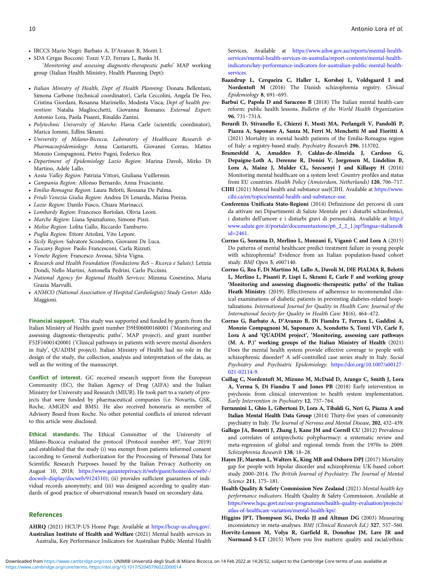- <span id="page-9-0"></span>• IRCCS Mario Negri: Barbato A, D'Avanzo B, Monti I.
- SDA Cergas Bocconi: Tozzi V.D, Ferrara L, Banks H. 'Monitoring and assessing diagnostic-therapeutic paths' MAP working group (Italian Health Ministry, Health Planning Dept):
- Italian Ministry of Health, Dept of Health Planning: Donata Bellentani, Simona Carbone (technical coordinator), Carla Ceccolini, Angela De Feo, Cristina Giordani, Rosanna Mariniello, Modesta Visca; Dept of health prevention: Natalia Magliocchetti, Giovanna Romano; External Expert: Antonio Lora, Paola Pisanti, Rinaldo Zanini.
- Polytechnic University of Marche: Flavia Carle (scientific coordinator), Marica Iommi, Edlira Skrami.
- University of Milano-Bicocca, Laboratory of Healthcare Research & Pharmacoepidemiology: Anna Cantarutti, Giovanni Corrao, Matteo Monzio Compagnoni, Pietro Pugni, Federico Rea.
- Department of Epidemiology Lazio Region: Marina Davoli, Mirko Di Martino, Adele Lallo.
- Aosta Valley Region: Patrizia Vittori, Giuliana Vuillermin.
- Campania Region: Alfonso Bernardo, Anna Frusciante.
- Emilia-Romagna Region: Laura Belotti, Rossana De Palma.
- Friuli-Venezia Giulia Region: Andrea Di Lenarda, Marisa Prezza.
- Lazio Region: Danilo Fusco, Chiara Marinacci.
- Lombardy Region: Francesco Bortolan, Olivia Leoni.
- Marche Region: Liana Spazzafumo, Simone Pizzi.
- Molise Region: Lolita Gallo, Riccardo Tamburro.
- Puglia Region: Ettore Attolini, Vito Lepore.
- Sicily Region: Salvatore Scondotto, Giovanni De Luca.
- Tuscany Region: Paolo Francesconi, Carla Rizzuti.
- Veneto Region: Francesco Avossa, Silvia Vigna.
- Research and Health Foundation (Fondazione ReS Ricerca e Salute): Letizia Dondi, Nello Martini, Antonella Pedrini, Carlo Piccinni.
- National Agency for Regional Health Services: Mimma Cosentino, Maria Grazia Marvulli.
- ANMCO (National Association of Hospital Cardiologists) Study Center: Aldo Maggioni.

Financial support. This study was supported and funded by grants from the Italian Ministry of Health: grant number J59H06000160001 ('Monitoring and assessing diagnostic-therapeutic paths', MAP project), and grant number F52F16001420001 ('Clinical pathways in patients with severe mental disorders in Italy', QUADIM project). Italian Ministry of Health had no role in the design of the study, the collection, analysis and interpretation of the data, as well as the writing of the manuscript.

Conflict of interest. GC received research support from the European Community (EC), the Italian Agency of Drug (AIFA) and the Italian Ministry for University and Research (MIUR). He took part to a variety of projects that were funded by pharmaceutical companies (i.e. Novartis, GSK, Roche, AMGEN and BMS). He also received honoraria as member of Advisory Board from Roche. No other potential conflicts of interest relevant to this article were disclosed.

Ethical standards. The Ethical Committee of the University of Milano-Bicocca evaluated the protocol (Protocol number 497, Year 2019) and established that the study (i) was exempt from patients informed consent (according to General Authorization for the Processing of Personal Data for Scientific Research Purposes Issued by the Italian Privacy Authority on August 10, 2018; [https://www.garanteprivacy.it/web/guest/home/docweb/-/](https://www.garanteprivacy.it/web/guest/home/docweb/-/docweb-display/docweb/9124510) [docweb-display/docweb/9124510\)](https://www.garanteprivacy.it/web/guest/home/docweb/-/docweb-display/docweb/9124510); (ii) provides sufficient guarantees of individual records anonymity; and (iii) was designed according to quality standards of good practice of observational research based on secondary data.

#### References

AHRQ (2021) HCUP-US Home Page. Available at <https://hcup-us.ahrq.gov/>. Australian Institute of Health and Welfare (2021) Mental health services in Australia, Key Performance Indicators for Australian Public Mental Health Services. Available at [https://www.aihw.gov.au/reports/mental-health](https://www.aihw.gov.au/reports/mental-health-services/mental-health-services-in-australia/report-contents/mental-health-indicators/key-performance-indicators-for-australian-public-mental-health-services)[services/mental-health-services-in-australia/report-contents/mental-health](https://www.aihw.gov.au/reports/mental-health-services/mental-health-services-in-australia/report-contents/mental-health-indicators/key-performance-indicators-for-australian-public-mental-health-services)[indicators/key-performance-indicators-for-australian-public-mental-health](https://www.aihw.gov.au/reports/mental-health-services/mental-health-services-in-australia/report-contents/mental-health-indicators/key-performance-indicators-for-australian-public-mental-health-services)[services.](https://www.aihw.gov.au/reports/mental-health-services/mental-health-services-in-australia/report-contents/mental-health-indicators/key-performance-indicators-for-australian-public-mental-health-services)

- Baandrup L, Cerqueira C, Haller L, Korshøj L, Voldsgaard I and Nordentoft M (2016) The Danish schizophrenia registry. Clinical Epidemiology 8, 691–695.
- Barbui C, Papola D and Saraceno B (2018) The Italian mental health-care reform: public health lessons. Bulletin of the World Health Organization 96, 731–731A.
- Berardi D, Stivanello E, Chierzi F, Musti MA, Perlangeli V, Pandolfi P, Piazza A, Saponaro A, Sanza M, Ferri M, Menchetti M and Fioritti A (2021) Mortality in mental health patients of the Emilia-Romagna region of Italy: a registry-based study. Psychiatry Research 296, 113702.
- Bramesfeld A, Amaddeo F, Caldas-de-Almeida J, Cardoso G, Depaigne-Loth A, Derenne R, Donisi V, Jørgensen M, Lindelius B, Lora A, Mainz J, Mulder CL, Szecsenyi J and Killaspy H (2016) Monitoring mental healthcare on a system level: Country profiles and status from EU countries. Health Policy (Amsterdam, Netherlands) 120, 706–717.
- CIHI (2021) Mental health and substance use|CIHI. Available at [https://www.](https://www.cihi.ca/en/topics/mental-health-and-substance-use) [cihi.ca/en/topics/mental-health-and-substance-use.](https://www.cihi.ca/en/topics/mental-health-and-substance-use)
- Conferenza Unificata Stato-Regioni (2014) Definizione dei percorsi di cura da attivare nei Dipartimenti di Salute Mentale per i disturbi schizofrenici, i disturbi dell'umore e i disturbi gravi di personalità. Available at [http://](http://www.salute.gov.it/portale/documentazione/p6_2_2_1.jsp?lingua=italiano&id=2461) [www.salute.gov.it/portale/documentazione/p6\\_2\\_2\\_1.jsp?lingua=italiano&](http://www.salute.gov.it/portale/documentazione/p6_2_2_1.jsp?lingua=italiano&id=2461) [id=2461.](http://www.salute.gov.it/portale/documentazione/p6_2_2_1.jsp?lingua=italiano&id=2461)
- Corrao G, Soranna D, Merlino L, Monzani E, Viganò C and Lora A (2015) Do patterns of mental healthcare predict treatment failure in young people with schizophrenia? Evidence from an Italian population-based cohort study. BMJ Open 5, e007140.
- Corrao G, Rea F, Di Martino M, Lallo A, Davoli M, DlE PlALMA R, Belotti L, Merlino L, Pisanti P, Lispi L, Skrami E, Carle F and working group 'Monitoring and assessing diagnostic-therapeutic paths' of the Italian Heath Ministry. (2019). Effectiveness of adherence to recommended clinical examinations of diabetic patients in preventing diabetes-related hospitalizations. International Journal for Quality in Health Care: Journal of the International Society for Quality in Health Care 31(6), 464–472.
- Corrao G, Barbato A, D'Avanzo B, Di Fiandra T, Ferrara L, Gaddini A, Monzio Compagnoni M, Saponaro A, Scondotto S, Tozzi VD, Carle F, Lora A and 'QUADIM project', 'Monitoring, assessing care pathways (M. A. P.)' working groups of the Italian Ministry of Health (2021) Does the mental health system provide effective coverage to people with schizophrenic disorder? A self-controlled case series study in Italy. Social Psychiatry and Psychiatric Epidemiology. [https://doi.org/10.1007/s00127-](https://doi.org/10.1007/s00127-021-02114-9) [021-02114-9](https://doi.org/10.1007/s00127-021-02114-9).
- Csillag C, Nordentoft M, Mizuno M, McDaid D, Arango C, Smith J, Lora A, Verma S, Di Fiandra T and Jones PB (2018) Early intervention in psychosis: from clinical intervention to health system implementation. Early Intervention in Psychiatry 12, 757–764.
- Ferrannini L, Ghio L, Gibertoni D, Lora A, Tibaldi G, Neri G, Piazza A and Italian Mental Health Data Group (2014) Thirty-five years of community psychiatry in Italy. The Journal of Nervous and Mental Disease, 202, 432–439.
- Gallego JA, Bonetti J, Zhang J, Kane JM and Correll CU (2012) Prevalence and correlates of antipsychotic polypharmacy: a systematic review and meta-regression of global and regional trends from the 1970s to 2009. Schizophrenia Research 138, 18–28.
- Hayes JF, Marston L, Walters K, King MB and Osborn DPJ (2017) Mortality gap for people with bipolar disorder and schizophrenia: UK-based cohort study 2000–2014. The British Journal of Psychiatry: The Journal of Mental Science 211, 175–181.
- Health Quality & Safety Commission New Zealand (2021) Mental health key performance indicators. Health Quality & Safety Commission. Available at [https://www.hqsc.govt.nz/our-programmes/health-quality-evaluation/projects/](https://www.hqsc.govt.nz/our-programmes/health-quality-evaluation/projects/atlas-of-healthcare-variation/mental-health-kpi/) [atlas-of-healthcare-variation/mental-health-kpi/](https://www.hqsc.govt.nz/our-programmes/health-quality-evaluation/projects/atlas-of-healthcare-variation/mental-health-kpi/).

Higgins JPT, Thompson SG, Deeks JJ and Altman DG (2003) Measuring inconsistency in meta-analyses. BMJ (Clinical Research Ed.) 327, 557–560.

Horvitz-Lennon M, Volya R, Garfield R, Donohue JM, Lave JR and Normand S-LT (2015) Where you live matters: quality and racial/ethnic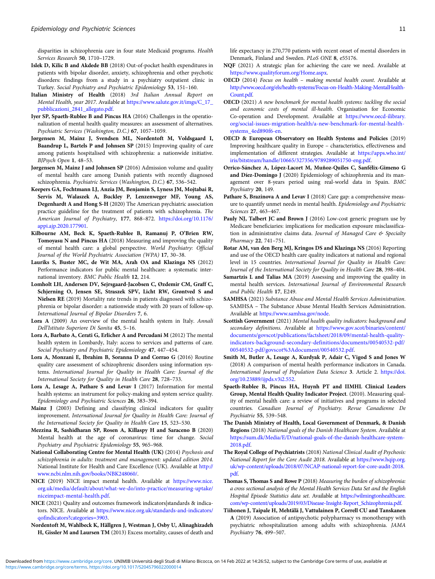<span id="page-10-0"></span>disparities in schizophrenia care in four state Medicaid programs. Health Services Research 50, 1710–1729.

- Islek D, Kilic B and Akdede BB (2018) Out-of-pocket health expenditures in patients with bipolar disorder, anxiety, schizophrenia and other psychotic disorders: findings from a study in a psychiatry outpatient clinic in Turkey. Social Psychiatry and Psychiatric Epidemiology 53, 151–160.
- Italian Ministry of Health (2018) 3rd Italian Annual Report on Mental Health, year 2017. Available at [https://www.salute.gov.it/imgs/C\\_17\\_](https://www.salute.gov.it/imgs/C_17_pubblicazioni_2841_allegato.pdf) [pubblicazioni\\_2841\\_allegato.pdf](https://www.salute.gov.it/imgs/C_17_pubblicazioni_2841_allegato.pdf).
- Iyer SP, Spaeth-Rublee B and Pincus HA (2016) Challenges in the operationalization of mental health quality measures: an assessment of alternatives. Psychiatric Services (Washington, D.C.) 67, 1057–1059.
- Jørgensen M, Mainz J, Svendsen ML, Nordentoft M, Voldsgaard I, Baandrup L, Bartels P and Johnsen SP (2015) Improving quality of care among patients hospitalised with schizophrenia: a nationwide initiative. BJPsych Open 1, 48–53.
- Jørgensen M, Mainz J and Johnsen SP (2016) Admission volume and quality of mental health care among Danish patients with recently diagnosed schizophrenia. Psychiatric Services (Washington, D.C.) 67, 536–542.
- Keepers GA, Fochtmann LJ, Anzia JM, Benjamin S, Lyness JM, Mojtabai R, Servis M, Walaszek A, Buckley P, Lenzenweger MF, Young AS, Degenhardt A and Hong S-H (2020) The American psychiatric association practice guideline for the treatment of patients with schizophrenia. The American Journal of Psychiatry, 177, 868–872. [https://doi.org/10.1176/](https://doi.org/10.1176/appi.ajp.2020.177901) [appi.ajp.2020.177901](https://doi.org/10.1176/appi.ajp.2020.177901).
- Kilbourne AM, Beck K, Spaeth-Rublee B, Ramanuj P, O'Brien RW, Tomoyasu N and Pincus HA (2018) Measuring and improving the quality of mental health care: a global perspective. World Psychiatry: Official Journal of the World Psychiatric Association (WPA) 17, 30–38.
- Lauriks S, Buster MC, de Wit MA, Arah OA and Klazinga NS (2012) Performance indicators for public mental healthcare: a systematic international inventory. BMC Public Health 12, 214.
- Lomholt LH, Andersen DV, Sejrsgaard-Jacobsen C, Øzdemir CM, Graff C, Schjerning O, Jensen SE, Straszek SPV, Licht RW, Grøntved S and Nielsen RE (2019) Mortality rate trends in patients diagnosed with schizophrenia or bipolar disorder: a nationwide study with 20 years of follow-up. International Journal of Bipolar Disorders 7, 6.
- Lora A (2009) An overview of the mental health system in Italy. Annali Dell'Istituto Superiore Di Sanita 45, 5–16.
- Lora A, Barbato A, Cerati G, Erlicher A and Percudani M (2012) The mental health system in Lombardy, Italy: access to services and patterns of care. Social Psychiatry and Psychiatric Epidemiology 47, 447–454.
- Lora A, Monzani E, Ibrahim B, Soranna D and Corrao G (2016) Routine quality care assessment of schizophrenic disorders using information systems. International Journal for Quality in Health Care: Journal of the International Society for Quality in Health Care 28, 728–733.
- Lora A, Lesage A, Pathare S and Levav I (2017) Information for mental health systems: an instrument for policy-making and system service quality. Epidemiology and Psychiatric Sciences 26, 383–394.
- Mainz J (2003) Defining and classifying clinical indicators for quality improvement. International Journal for Quality in Health Care: Journal of the International Society for Quality in Health Care 15, 523–530.
- Mezzina R, Sashidharan SP, Rosen A, Killaspy H and Saraceno B (2020) Mental health at the age of coronavirus: time for change. Social Psychiatry and Psychiatric Epidemiology 55, 965–968.
- National Collaborating Centre for Mental Health (UK) (2014) Psychosis and schizophrenia in adults: treatment and management: updated edition 2014. National Institute for Health and Care Excellence (UK). Available at [http://](http://www.ncbi.nlm.nih.gov/books/NBK248060/) [www.ncbi.nlm.nih.gov/books/NBK248060/](http://www.ncbi.nlm.nih.gov/books/NBK248060/).
- NICE (2019) NICE impact mental health. Available at [https://www.nice.](https://www.nice.org.uk/media/default/about/what-we-do/into-practice/measuring-uptake/niceimpact-mental-health.pdf) [org.uk/media/default/about/what-we-do/into-practice/measuring-uptake/](https://www.nice.org.uk/media/default/about/what-we-do/into-practice/measuring-uptake/niceimpact-mental-health.pdf) [niceimpact-mental-health.pdf](https://www.nice.org.uk/media/default/about/what-we-do/into-practice/measuring-uptake/niceimpact-mental-health.pdf).
- NICE (2021) Quality and outcomes framework indicators|standards & indicators. NICE. Available at [https://www.nice.org.uk/standards-and-indicators/](https://www.nice.org.uk/standards-and-indicators/qofindicators?categories=3903) [qofindicators?categories=3903](https://www.nice.org.uk/standards-and-indicators/qofindicators?categories=3903).
- Nordentoft M, Wahlbeck K, Hällgren J, Westman J, Osby U, Alinaghizadeh H, Gissler M and Laursen TM (2013) Excess mortality, causes of death and

life expectancy in 270,770 patients with recent onset of mental disorders in Denmark, Finland and Sweden. PLoS ONE 8, e55176.

- NQF (2021) A strategic plan for achieving the care we need. Available at [https://www.qualityforum.org/Home.aspx.](https://www.qualityforum.org/Home.aspx)
- OECD (2014) Focus on health making mental health count. Available at [http://www.oecd.org/els/health-systems/Focus-on-Health-Making-MentalHealth-](http://www.oecd.org/els/health-systems/Focus-on-Health-Making-MentalHealth-Count.pdf)[Count.pdf](http://www.oecd.org/els/health-systems/Focus-on-Health-Making-MentalHealth-Count.pdf).
- OECD (2021) A new benchmark for mental health systems: tackling the social and economic costs of mental ill-health. Organisation for Economic Co-operation and Development. Available at [https://www.oecd-ilibrary.](https://www.oecd-ilibrary.org/social-issues-migration-health/a-new-benchmark-for-mental-health-systems_4ed890f6-en) [org/social-issues-migration-health/a-new-benchmark-for-mental-health](https://www.oecd-ilibrary.org/social-issues-migration-health/a-new-benchmark-for-mental-health-systems_4ed890f6-en)[systems\\_4ed890f6-en.](https://www.oecd-ilibrary.org/social-issues-migration-health/a-new-benchmark-for-mental-health-systems_4ed890f6-en)
- OECD & European Observatory on Health Systems and Policies (2019) Improving healthcare quality in Europe – characteristics, effectiveness and implementation of different strategies. Available at [https://apps.who.int/](https://apps.who.int/iris/bitstream/handle/10665/327356/9789289051750-eng.pdf) [iris/bitstream/handle/10665/327356/9789289051750-eng.pdf](https://apps.who.int/iris/bitstream/handle/10665/327356/9789289051750-eng.pdf).
- Orrico-Sánchez A, López-Lacort M, Muñoz-Quiles C, Sanfélix-Gimeno G and Díez-Domingo J (2020) Epidemiology of schizophrenia and its management over 8-years period using real-world data in Spain. BMC Psychiatry 20, 149.
- Pathare S, Brazinova A and Levav I (2018) Care gap: a comprehensive measure to quantify unmet needs in mental health. Epidemiology and Psychiatric Sciences 27, 463–467.
- Pauly NJ, Talbert JC and Brown J (2016) Low-cost generic program use by Medicare beneficiaries: implications for medication exposure misclassification in administrative claims data. Journal of Managed Care & Specialty Pharmacy 22, 741–751.
- Rotar AM, van den Berg MJ, Kringos DS and Klazinga NS (2016) Reporting and use of the OECD health care quality indicators at national and regional level in 15 countries. International Journal for Quality in Health Care: Journal of the International Society for Quality in Health Care 28, 398–404.
- Samartzis L and Talias MA (2019) Assessing and improving the quality in mental health services. International Journal of Environmental Research and Public Health 17, E249.
- SAMHSA (2021) Substance Abuse and Mental Health Services Administration. SAMHSA – The Substance Abuse Mental Health Services Administration. Available at <https://www.samhsa.gov/node>.
- Scottish Government (2021) Mental health quality indicators: background and secondary definitions. Available at [https://www.gov.scot/binaries/content/](https://www.gov.scot/binaries/content/documents/govscot/publications/factsheet/2018/09/mental-health-quality-indicators-background-secondary-definitions/documents/00540532-pdf/00540532-pdf/govscot%3Adocument/00540532.pdf) [documents/govscot/publications/factsheet/2018/09/mental-health-quality](https://www.gov.scot/binaries/content/documents/govscot/publications/factsheet/2018/09/mental-health-quality-indicators-background-secondary-definitions/documents/00540532-pdf/00540532-pdf/govscot%3Adocument/00540532.pdf)[indicators-background-secondary-definitions/documents/00540532-pdf/](https://www.gov.scot/binaries/content/documents/govscot/publications/factsheet/2018/09/mental-health-quality-indicators-background-secondary-definitions/documents/00540532-pdf/00540532-pdf/govscot%3Adocument/00540532.pdf) [00540532-pdf/govscot%3Adocument/00540532.pdf](https://www.gov.scot/binaries/content/documents/govscot/publications/factsheet/2018/09/mental-health-quality-indicators-background-secondary-definitions/documents/00540532-pdf/00540532-pdf/govscot%3Adocument/00540532.pdf).
- Smith M, Butler A, Lesage A, Kurdyak P, Adair C, Vigod S and Jones W (2018) A comparison of mental health performance indicators in Canada. International Journal of Population Data Science 3. Article 2. [https://doi.](https://doi.org/10.23889/ijpds.v3i2.552) [org/10.23889/ijpds.v3i2.552.](https://doi.org/10.23889/ijpds.v3i2.552)
- Spaeth-Rublee B, Pincus HA, Huynh PT and IIMHL Clinical Leaders Group, Mental Health Quality Indicator Project. (2010). Measuring quality of mental health care: a review of initiatives and programs in selected countries. Canadian Journal of Psychiatry. Revue Canadienne De Psychiatrie 55, 539–548.
- The Danish Ministry of Health, Local Government of Denmark, & Danish Regions (2018) National goals of the Danish Healthcare System. Available at [https://sum.dk/Media/E/D/national-goals-of-the-danish-healthcare-system-](https://sum.dk/Media/E/D/national-goals-of-the-danish-healthcare-system-2018.pdf)[2018.pdf.](https://sum.dk/Media/E/D/national-goals-of-the-danish-healthcare-system-2018.pdf)
- The Royal College of Psychiatrists (2018) National Clinical Audit of Psychosis: National Report for the Core Audit 2018. Available at [https://www.hqip.org.](https://www.hqip.org.uk/wp-content/uploads/2018/07/NCAP-national-report-for-core-audit-2018.pdf) [uk/wp-content/uploads/2018/07/NCAP-national-report-for-core-audit-2018.](https://www.hqip.org.uk/wp-content/uploads/2018/07/NCAP-national-report-for-core-audit-2018.pdf) [pdf.](https://www.hqip.org.uk/wp-content/uploads/2018/07/NCAP-national-report-for-core-audit-2018.pdf)
- Thomas S, Thomas S and Rowe P (2018) Measuring the burden of schizophrenia: a cross sectional analysis of the Mental Health Services Data Set and the English Hospital Episode Statistics data set. Available at [https://wilmingtonhealthcare.](https://wilmingtonhealthcare.com/wp-content/uploads/2019/03/Disease-Insight-Report_Schizophrenia.pdf) [com/wp-content/uploads/2019/03/Disease-Insight-Report\\_Schizophrenia.pdf](https://wilmingtonhealthcare.com/wp-content/uploads/2019/03/Disease-Insight-Report_Schizophrenia.pdf).
- Tiihonen J, Taipale H, Mehtälä J, Vattulainen P, Correll CU and Tanskanen A (2019) Association of antipsychotic polypharmacy vs monotherapy with psychiatric rehospitalization among adults with schizophrenia. JAMA Psychiatry 76, 499–507.